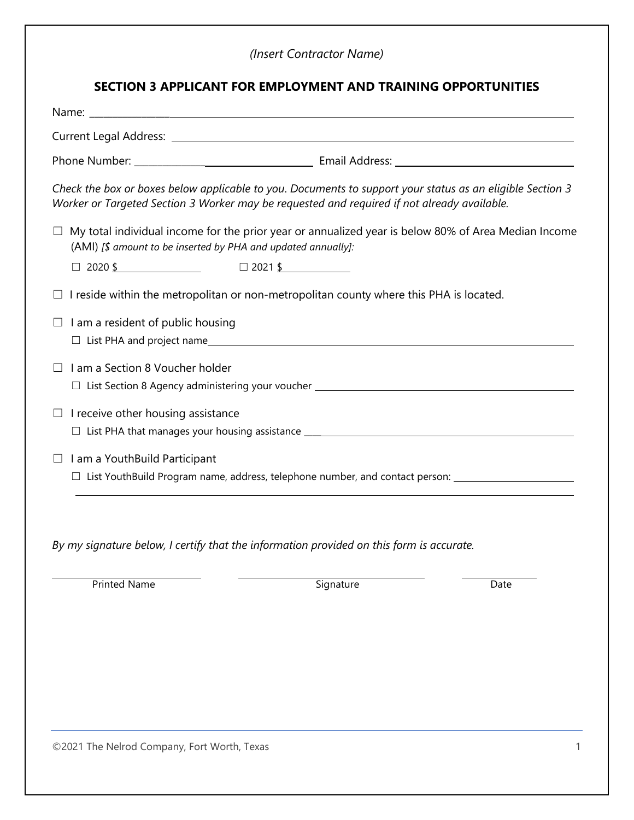## *(Insert Contractor Name)*

| SECTION 3 APPLICANT FOR EMPLOYMENT AND TRAINING OPPORTUNITIES |                                                                                                                                                                                                          |  |
|---------------------------------------------------------------|----------------------------------------------------------------------------------------------------------------------------------------------------------------------------------------------------------|--|
|                                                               |                                                                                                                                                                                                          |  |
|                                                               |                                                                                                                                                                                                          |  |
|                                                               |                                                                                                                                                                                                          |  |
|                                                               | Check the box or boxes below applicable to you. Documents to support your status as an eligible Section 3<br>Worker or Targeted Section 3 Worker may be requested and required if not already available. |  |
| (AMI) [\$ amount to be inserted by PHA and updated annually]: | $\Box$ My total individual income for the prior year or annualized year is below 80% of Area Median Income                                                                                               |  |
| $\Box$ 2020 \$ $\Box$ 2021 \$                                 |                                                                                                                                                                                                          |  |
|                                                               | $\Box$ I reside within the metropolitan or non-metropolitan county where this PHA is located.                                                                                                            |  |
| I am a resident of public housing<br>$\Box$                   |                                                                                                                                                                                                          |  |
| I am a Section 8 Voucher holder<br>П                          |                                                                                                                                                                                                          |  |
| I receive other housing assistance<br>$\Box$                  |                                                                                                                                                                                                          |  |
| $\Box$ I am a YouthBuild Participant                          | □ List YouthBuild Program name, address, telephone number, and contact person: __________________________                                                                                                |  |
|                                                               | By my signature below, I certify that the information provided on this form is accurate.                                                                                                                 |  |

Printed Name Date Communication of the Signature Communication of the Date

©2021 The Nelrod Company, Fort Worth, Texas 1